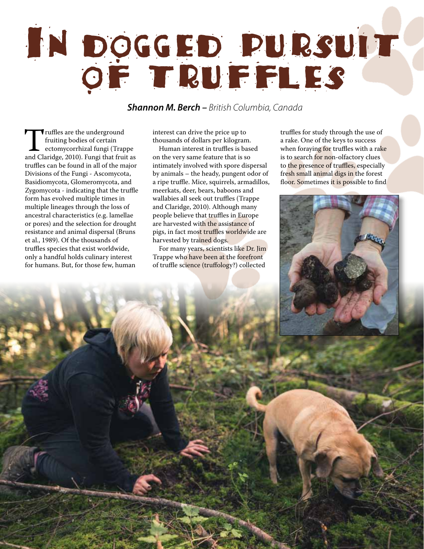## IN DOGGED PURSUIT

## *Shannon M. Berch – British Columbia, Canada*

Truffles are the underground<br>
fruiting bodies of certain<br>
ectomycorrhizal fungi (Trappe<br>
and Claridge, 2010). Fungi that fruit as fruiting bodies of certain ectomycorrhizal fungi (Trappe truffles can be found in all of the major Divisions of the Fungi - Ascomycota, Basidiomycota, Glomeromycota, and Zygomycota - indicating that the truffle form has evolved multiple times in multiple lineages through the loss of ancestral characteristics (e.g. lamellae or pores) and the selection for drought resistance and animal dispersal (Bruns et al., 1989). Of the thousands of truffles species that exist worldwide, only a handful holds culinary interest for humans. But, for those few, human

interest can drive the price up to thousands of dollars per kilogram.

Human interest in truffles is based on the very same feature that is so intimately involved with spore dispersal by animals – the heady, pungent odor of a ripe truffle. Mice, squirrels, armadillos, meerkats, deer, bears, baboons and wallabies all seek out truffles (Trappe and Claridge, 2010). Although many people believe that truffles in Europe are harvested with the assistance of pigs, in fact most truffles worldwide are harvested by trained dogs.

For many years, scientists like Dr. Jim Trappe who have been at the forefront of truffle science (truffology?) collected

truffles for study through the use of a rake. One of the keys to success when foraying for truffles with a rake is to search for non-olfactory clues to the presence of truffles, especially fresh small animal digs in the forest floor. Sometimes it is possible to find

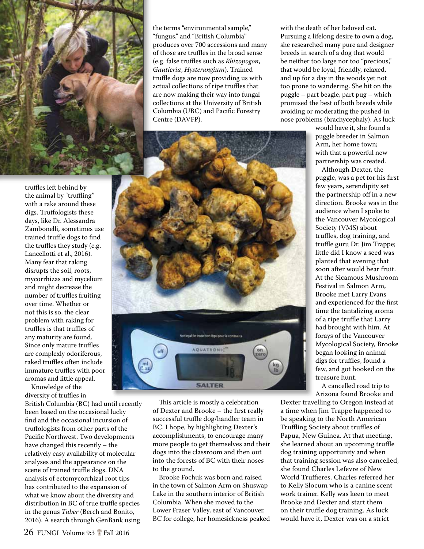

truffles left behind by the animal by "truffling" with a rake around these digs. Truffologists these days, like Dr. Alessandra Zambonelli, sometimes use trained truffle dogs to find the truffles they study (e.g. Lancellotti et al., 2016). Many fear that raking disrupts the soil, roots, mycorrhizas and mycelium and might decrease the number of truffles fruiting over time. Whether or not this is so, the clear problem with raking for truffles is that truffles of any maturity are found. Since only mature truffles are complexly odoriferous, raked truffles often include immature truffles with poor aromas and little appeal.

Knowledge of the diversity of truffles in

British Columbia (BC) had until recently been based on the occasional lucky find and the occasional incursion of truffologists from other parts of the Pacific Northwest. Two developments have changed this recently – the relatively easy availability of molecular analyses and the appearance on the scene of trained truffle dogs. DNA analysis of ectomycorrhizal root tips has contributed to the expansion of what we know about the diversity and distribution in BC of true truffle species in the genus *Tuber* (Berch and Bonito, 2016). A search through GenBank using

the terms "environmental sample," "fungus," and "British Columbia" produces over 700 accessions and many of those are truffles in the broad sense (e.g. false truffles such as *Rhizopogon*, *Gautieria*, *Hysterangium*). Trained truffle dogs are now providing us with actual collections of ripe truffles that are now making their way into fungal collections at the University of British Columbia (UBC) and Pacific Forestry Centre (DAVFP).

with the death of her beloved cat. Pursuing a lifelong desire to own a dog, she researched many pure and designer breeds in search of a dog that would be neither too large nor too "precious," that would be loyal, friendly, relaxed, and up for a day in the woods yet not too prone to wandering. She hit on the puggle – part beagle, part pug – which promised the best of both breeds while avoiding or moderating the pushed-in nose problems (brachycephaly). As luck

would have it, she found a puggle breeder in Salmon Arm, her home town; with that a powerful new partnership was created.

Although Dexter, the puggle, was a pet for his first few years, serendipity set the partnership off in a new direction. Brooke was in the audience when I spoke to the Vancouver Mycological Society (VMS) about truffles, dog training, and truffle guru Dr. Jim Trappe; little did I know a seed was planted that evening that soon after would bear fruit. At the Sicamous Mushroom Festival in Salmon Arm, Brooke met Larry Evans and experienced for the first time the tantalizing aroma of a ripe truffle that Larry had brought with him. At forays of the Vancouver Mycological Society, Brooke began looking in animal digs for truffles, found a few, and got hooked on the treasure hunt.

A cancelled road trip to Arizona found Brooke and

Dexter travelling to Oregon instead at a time when Jim Trappe happened to be speaking to the North American Truffling Society about truffles of Papua, New Guinea. At that meeting, she learned about an upcoming truffle dog training opportunity and when that training session was also cancelled, she found Charles Lefevre of New World Truffieres. Charles referred her to Kelly Slocum who is a canine scent work trainer. Kelly was keen to meet Brooke and Dexter and start them on their truffle dog training. As luck would have it, Dexter was on a strict



of Dexter and Brooke – the first really successful truffle dog/handler team in BC. I hope, by highlighting Dexter's accomplishments, to encourage many more people to get themselves and their dogs into the classroom and then out into the forests of BC with their noses to the ground.

Brooke Fochuk was born and raised in the town of Salmon Arm on Shuswap Lake in the southern interior of British Columbia. When she moved to the Lower Fraser Valley, east of Vancouver, BC for college, her homesickness peaked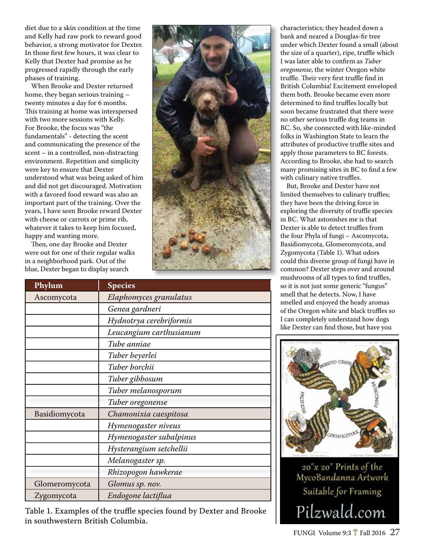diet due to a skin condition at the time and Kelly had raw pork to reward good behavior, a strong motivator for Dexter. In those first few hours, it was clear to Kelly that Dexter had promise as he progressed rapidly through the early phases of training.

When Brooke and Dexter returned home, they began serious training – twenty minutes a day for 6 months. This training at home was interspersed with two more sessions with Kelly. For Brooke, the focus was "the fundamentals" - detecting the scent and communicating the presence of the scent – in a controlled, non-distracting environment. Repetition and simplicity were key to ensure that Dexter understood what was being asked of him and did not get discouraged. Motivation with a favored food reward was also an important part of the training. Over the years, I have seen Brooke reward Dexter with cheese or carrots or prime rib, whatever it takes to keep him focused, happy and wanting more.

Then, one day Brooke and Dexter were out for one of their regular walks in a neighborhood park. Out of the blue, Dexter began to display search



| Phylum        | <b>Species</b>          |
|---------------|-------------------------|
| Ascomycota    | Elaphomyces granulatus  |
|               | Genea gardneri          |
|               | Hydnotrya cerebriformis |
|               | Leucangium carthusianum |
|               | Tube anniae             |
|               | Tuber beyerlei          |
|               | Tuber borchii           |
|               | Tuber gibbosum          |
|               | Tuber melanosporum      |
|               | Tuber oregonense        |
| Basidiomycota | Chamonixia caespitosa   |
|               | Hymenogaster niveus     |
|               | Hymenogaster subalpinus |
|               | Hysterangium setchellii |
|               | Melanogaster sp.        |
|               | Rhizopogon hawkerae     |
| Glomeromycota | Glomus sp. nov.         |
| Zygomycota    | Endogone lactiflua      |

Table 1. Examples of the truffle species found by Dexter and Brooke in southwestern British Columbia.

characteristics; they headed down a bank and neared a Douglas-fir tree under which Dexter found a small (about the size of a quarter), ripe, truffle which I was later able to confirm as *Tuber oregonense*, the winter Oregon white truffle. Their very first truffle find in British Columbia! Excitement enveloped them both. Brooke became even more determined to find truffles locally but soon became frustrated that there were no other serious truffle dog teams in BC. So, she connected with like-minded folks in Washington State to learn the attributes of productive truffle sites and apply those parameters to BC forests. According to Brooke, she had to search many promising sites in BC to find a few with culinary native truffles.

But, Brooke and Dexter have not limited themselves to culinary truffles; they have been the driving force in exploring the diversity of truffle species in BC. What astonishes me is that Dexter is able to detect truffles from the four Phyla of fungi – Ascomycota, Basidiomycota, Glomeromycota, and Zygomycota (Table 1). What odors could this diverse group of fungi have in common? Dexter steps over and around mushrooms of all types to find truffles, so it is not just some generic "fungus" smell that he detects. Now, I have smelled and enjoyed the heady aromas of the Oregon white and black truffles so I can completely understand how dogs like Dexter can find those, but have you